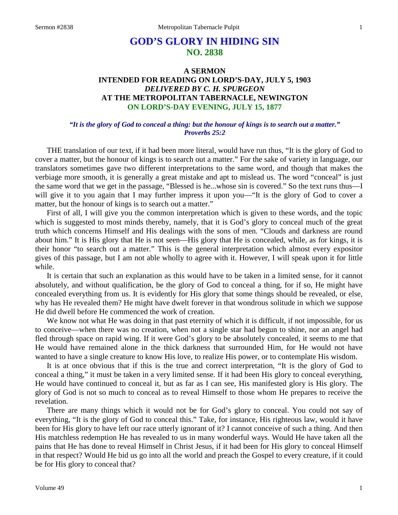# **GOD'S GLORY IN HIDING SIN NO. 2838**

# **A SERMON INTENDED FOR READING ON LORD'S-DAY, JULY 5, 1903** *DELIVERED BY C. H. SPURGEON* **AT THE METROPOLITAN TABERNACLE, NEWINGTON ON LORD'S-DAY EVENING, JULY 15, 1877**

### *"It is the glory of God to conceal a thing: but the honour of kings is to search out a matter." Proverbs 25:2*

THE translation of our text, if it had been more literal, would have run thus, "It is the glory of God to cover a matter, but the honour of kings is to search out a matter." For the sake of variety in language, our translators sometimes gave two different interpretations to the same word, and though that makes the verbiage more smooth, it is generally a great mistake and apt to mislead us. The word "conceal" is just the same word that we get in the passage, "Blessed is he...whose sin is covered." So the text runs thus—I will give it to you again that I may further impress it upon you—"It is the glory of God to cover a matter, but the honour of kings is to search out a matter."

First of all, I will give you the common interpretation which is given to these words, and the topic which is suggested to most minds thereby, namely, that it is God's glory to conceal much of the great truth which concerns Himself and His dealings with the sons of men. "Clouds and darkness are round about him." It is His glory that He is not seen—His glory that He is concealed, while, as for kings, it is their honor "to search out a matter." This is the general interpretation which almost every expositor gives of this passage, but I am not able wholly to agree with it. However, I will speak upon it for little while.

It is certain that such an explanation as this would have to be taken in a limited sense, for it cannot absolutely, and without qualification, be the glory of God to conceal a thing, for if so, He might have concealed everything from us. It is evidently for His glory that some things should be revealed, or else, why has He revealed them? He might have dwelt forever in that wondrous solitude in which we suppose He did dwell before He commenced the work of creation.

We know not what He was doing in that past eternity of which it is difficult, if not impossible, for us to conceive—when there was no creation, when not a single star had begun to shine, nor an angel had fled through space on rapid wing. If it were God's glory to be absolutely concealed, it seems to me that He would have remained alone in the thick darkness that surrounded Him, for He would not have wanted to have a single creature to know His love, to realize His power, or to contemplate His wisdom.

It is at once obvious that if this is the true and correct interpretation, "It is the glory of God to conceal a thing," it must be taken in a very limited sense. If it had been His glory to conceal everything, He would have continued to conceal it, but as far as I can see, His manifested glory is His glory. The glory of God is not so much to conceal as to reveal Himself to those whom He prepares to receive the revelation.

There are many things which it would not be for God's glory to conceal. You could not say of everything, "It is the glory of God to conceal this." Take, for instance, His righteous law, would it have been for His glory to have left our race utterly ignorant of it? I cannot conceive of such a thing. And then His matchless redemption He has revealed to us in many wonderful ways. Would He have taken all the pains that He has done to reveal Himself in Christ Jesus, if it had been for His glory to conceal Himself in that respect? Would He bid us go into all the world and preach the Gospel to every creature, if it could be for His glory to conceal that?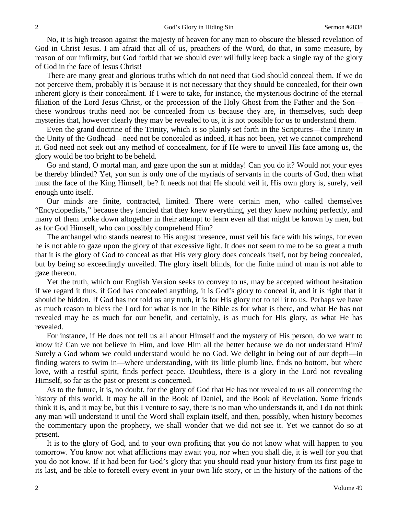No, it is high treason against the majesty of heaven for any man to obscure the blessed revelation of God in Christ Jesus. I am afraid that all of us, preachers of the Word, do that, in some measure, by reason of our infirmity, but God forbid that we should ever willfully keep back a single ray of the glory of God in the face of Jesus Christ!

There are many great and glorious truths which do not need that God should conceal them. If we do not perceive them, probably it is because it is not necessary that they should be concealed, for their own inherent glory is their concealment. If I were to take, for instance, the mysterious doctrine of the eternal filiation of the Lord Jesus Christ, or the procession of the Holy Ghost from the Father and the Son these wondrous truths need not be concealed from us because they are, in themselves, such deep mysteries that, however clearly they may be revealed to us, it is not possible for us to understand them.

Even the grand doctrine of the Trinity, which is so plainly set forth in the Scriptures—the Trinity in the Unity of the Godhead—need not be concealed as indeed, it has not been, yet we cannot comprehend it. God need not seek out any method of concealment, for if He were to unveil His face among us, the glory would be too bright to be beheld.

Go and stand, O mortal man, and gaze upon the sun at midday! Can you do it? Would not your eyes be thereby blinded? Yet, yon sun is only one of the myriads of servants in the courts of God, then what must the face of the King Himself, be? It needs not that He should veil it, His own glory is, surely, veil enough unto itself.

Our minds are finite, contracted, limited. There were certain men, who called themselves "Encyclopedists," because they fancied that they knew everything, yet they knew nothing perfectly, and many of them broke down altogether in their attempt to learn even all that might be known by men, but as for God Himself, who can possibly comprehend Him?

The archangel who stands nearest to His august presence, must veil his face with his wings, for even he is not able to gaze upon the glory of that excessive light. It does not seem to me to be so great a truth that it is the glory of God to conceal as that His very glory does conceals itself, not by being concealed, but by being so exceedingly unveiled. The glory itself blinds, for the finite mind of man is not able to gaze thereon.

Yet the truth, which our English Version seeks to convey to us, may be accepted without hesitation if we regard it thus, if God has concealed anything, it is God's glory to conceal it, and it is right that it should be hidden. If God has not told us any truth, it is for His glory not to tell it to us. Perhaps we have as much reason to bless the Lord for what is not in the Bible as for what is there, and what He has not revealed may be as much for our benefit, and certainly, is as much for His glory, as what He has revealed.

For instance, if He does not tell us all about Himself and the mystery of His person, do we want to know it? Can we not believe in Him, and love Him all the better because we do not understand Him? Surely a God whom we could understand would be no God. We delight in being out of our depth—in finding waters to swim in—where understanding, with its little plumb line, finds no bottom, but where love, with a restful spirit, finds perfect peace. Doubtless, there is a glory in the Lord not revealing Himself, so far as the past or present is concerned.

As to the future, it is, no doubt, for the glory of God that He has not revealed to us all concerning the history of this world. It may be all in the Book of Daniel, and the Book of Revelation. Some friends think it is, and it may be, but this I venture to say, there is no man who understands it, and I do not think any man will understand it until the Word shall explain itself, and then, possibly, when history becomes the commentary upon the prophecy, we shall wonder that we did not see it. Yet we cannot do so at present.

It is to the glory of God, and to your own profiting that you do not know what will happen to you tomorrow. You know not what afflictions may await you, nor when you shall die, it is well for you that you do not know. If it had been for God's glory that you should read your history from its first page to its last, and be able to foretell every event in your own life story, or in the history of the nations of the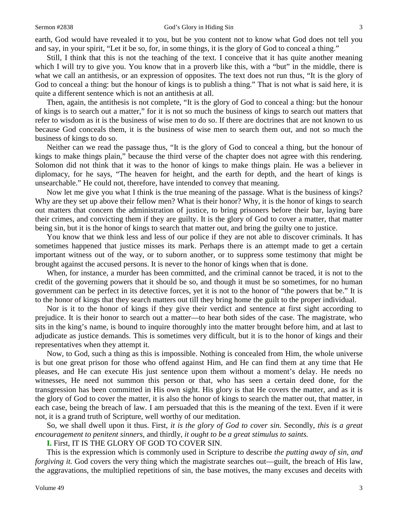earth, God would have revealed it to you, but be you content not to know what God does not tell you and say, in your spirit, "Let it be so, for, in some things, it is the glory of God to conceal a thing."

Still, I think that this is not the teaching of the text. I conceive that it has quite another meaning which I will try to give you. You know that in a proverb like this, with a "but" in the middle, there is what we call an antithesis, or an expression of opposites. The text does not run thus, "It is the glory of God to conceal a thing: but the honour of kings is to publish a thing." That is not what is said here, it is quite a different sentence which is not an antithesis at all.

Then, again, the antithesis is not complete, "It is the glory of God to conceal a thing: but the honour of kings is to search out a matter," for it is not so much the business of kings to search out matters that refer to wisdom as it is the business of wise men to do so. If there are doctrines that are not known to us because God conceals them, it is the business of wise men to search them out, and not so much the business of kings to do so.

Neither can we read the passage thus, "It is the glory of God to conceal a thing, but the honour of kings to make things plain," because the third verse of the chapter does not agree with this rendering. Solomon did not think that it was to the honor of kings to make things plain. He was a believer in diplomacy, for he says, "The heaven for height, and the earth for depth, and the heart of kings is unsearchable." He could not, therefore, have intended to convey that meaning.

Now let me give you what I think is the true meaning of the passage. What is the business of kings? Why are they set up above their fellow men? What is their honor? Why, it is the honor of kings to search out matters that concern the administration of justice, to bring prisoners before their bar, laying bare their crimes, and convicting them if they are guilty. It is the glory of God to cover a matter, that matter being sin, but it is the honor of kings to search that matter out, and bring the guilty one to justice.

You know that we think less and less of our police if they are not able to discover criminals. It has sometimes happened that justice misses its mark. Perhaps there is an attempt made to get a certain important witness out of the way, or to suborn another, or to suppress some testimony that might be brought against the accused persons. It is never to the honor of kings when that is done.

When, for instance, a murder has been committed, and the criminal cannot be traced, it is not to the credit of the governing powers that it should be so, and though it must be so sometimes, for no human government can be perfect in its detective forces, yet it is not to the honor of "the powers that be." It is to the honor of kings that they search matters out till they bring home the guilt to the proper individual.

Nor is it to the honor of kings if they give their verdict and sentence at first sight according to prejudice. It is their honor to search out a matter—to hear both sides of the case. The magistrate, who sits in the king's name, is bound to inquire thoroughly into the matter brought before him, and at last to adjudicate as justice demands. This is sometimes very difficult, but it is to the honor of kings and their representatives when they attempt it.

Now, to God, such a thing as this is impossible. Nothing is concealed from Him, the whole universe is but one great prison for those who offend against Him, and He can find them at any time that He pleases, and He can execute His just sentence upon them without a moment's delay. He needs no witnesses, He need not summon this person or that, who has seen a certain deed done, for the transgression has been committed in His own sight. His glory is that He covers the matter, and as it is the glory of God to cover the matter, it is also the honor of kings to search the matter out, that matter, in each case, being the breach of law. I am persuaded that this is the meaning of the text. Even if it were not, it is a grand truth of Scripture, well worthy of our meditation.

So, we shall dwell upon it thus. First, *it is the glory of God to cover sin.* Secondly, *this is a great encouragement to penitent sinners,* and thirdly*, it ought to be a great stimulus to saints.* 

**I.** First, IT IS THE GLORY OF GOD TO COVER SIN.

This is the expression which is commonly used in Scripture to describe *the putting away of sin, and forgiving it.* God covers the very thing which the magistrate searches out—guilt, the breach of His law, the aggravations, the multiplied repetitions of sin, the base motives, the many excuses and deceits with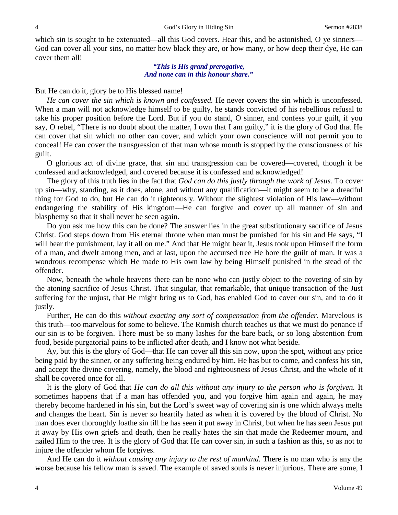which sin is sought to be extenuated—all this God covers. Hear this, and be astonished, O ye sinners— God can cover all your sins, no matter how black they are, or how many, or how deep their dye, He can cover them all!

> *"This is His grand prerogative, And none can in this honour share."*

But He can do it, glory be to His blessed name!

*He can cover the sin which is known and confessed.* He never covers the sin which is unconfessed. When a man will not acknowledge himself to be guilty, he stands convicted of his rebellious refusal to take his proper position before the Lord. But if you do stand, O sinner, and confess your guilt, if you say, O rebel, "There is no doubt about the matter, I own that I am guilty," it is the glory of God that He can cover that sin which no other can cover, and which your own conscience will not permit you to conceal! He can cover the transgression of that man whose mouth is stopped by the consciousness of his guilt.

O glorious act of divine grace, that sin and transgression can be covered—covered, though it be confessed and acknowledged, and covered because it is confessed and acknowledged!

The glory of this truth lies in the fact that *God can do this justly through the work of Jesus.* To cover up sin—why, standing, as it does, alone, and without any qualification—it might seem to be a dreadful thing for God to do, but He can do it righteously. Without the slightest violation of His law—without endangering the stability of His kingdom—He can forgive and cover up all manner of sin and blasphemy so that it shall never be seen again.

Do you ask me how this can be done? The answer lies in the great substitutionary sacrifice of Jesus Christ. God steps down from His eternal throne when man must be punished for his sin and He says, "I will bear the punishment, lay it all on me." And that He might bear it, Jesus took upon Himself the form of a man, and dwelt among men, and at last, upon the accursed tree He bore the guilt of man. It was a wondrous recompense which He made to His own law by being Himself punished in the stead of the offender.

Now, beneath the whole heavens there can be none who can justly object to the covering of sin by the atoning sacrifice of Jesus Christ. That singular, that remarkable, that unique transaction of the Just suffering for the unjust, that He might bring us to God, has enabled God to cover our sin, and to do it justly.

Further, He can do this *without exacting any sort of compensation from the offender.* Marvelous is this truth—too marvelous for some to believe. The Romish church teaches us that we must do penance if our sin is to be forgiven. There must be so many lashes for the bare back, or so long abstention from food, beside purgatorial pains to be inflicted after death, and I know not what beside.

Ay, but this is the glory of God—that He can cover all this sin now, upon the spot, without any price being paid by the sinner, or any suffering being endured by him. He has but to come, and confess his sin, and accept the divine covering, namely, the blood and righteousness of Jesus Christ, and the whole of it shall be covered once for all.

It is the glory of God that *He can do all this without any injury to the person who is forgiven.* It sometimes happens that if a man has offended you, and you forgive him again and again, he may thereby become hardened in his sin, but the Lord's sweet way of covering sin is one which always melts and changes the heart. Sin is never so heartily hated as when it is covered by the blood of Christ. No man does ever thoroughly loathe sin till he has seen it put away in Christ, but when he has seen Jesus put it away by His own griefs and death, then he really hates the sin that made the Redeemer mourn, and nailed Him to the tree. It is the glory of God that He can cover sin, in such a fashion as this, so as not to injure the offender whom He forgives.

And He can do it *without causing any injury to the rest of mankind.* There is no man who is any the worse because his fellow man is saved. The example of saved souls is never injurious. There are some, I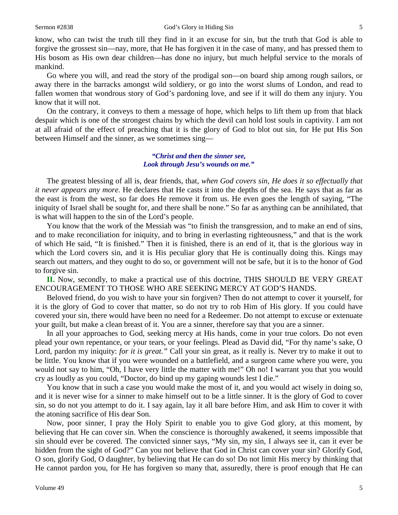know, who can twist the truth till they find in it an excuse for sin, but the truth that God is able to forgive the grossest sin—nay, more, that He has forgiven it in the case of many, and has pressed them to His bosom as His own dear children—has done no injury, but much helpful service to the morals of mankind.

Go where you will, and read the story of the prodigal son—on board ship among rough sailors, or away there in the barracks amongst wild soldiery, or go into the worst slums of London, and read to fallen women that wondrous story of God's pardoning love, and see if it will do them any injury. You know that it will not.

On the contrary, it conveys to them a message of hope, which helps to lift them up from that black despair which is one of the strongest chains by which the devil can hold lost souls in captivity. I am not at all afraid of the effect of preaching that it is the glory of God to blot out sin, for He put His Son between Himself and the sinner, as we sometimes sing—

> *"Christ and then the sinner see, Look through Jesu's wounds on me."*

The greatest blessing of all is, dear friends, that, *when God covers sin, He does it so effectually that it never appears any more.* He declares that He casts it into the depths of the sea. He says that as far as the east is from the west, so far does He remove it from us. He even goes the length of saying, "The iniquity of Israel shall be sought for, and there shall be none." So far as anything can be annihilated, that is what will happen to the sin of the Lord's people.

You know that the work of the Messiah was "to finish the transgression, and to make an end of sins, and to make reconciliation for iniquity, and to bring in everlasting righteousness," and that is the work of which He said, "It is finished." Then it is finished, there is an end of it, that is the glorious way in which the Lord covers sin, and it is His peculiar glory that He is continually doing this. Kings may search out matters, and they ought to do so, or government will not be safe, but it is to the honor of God to forgive sin.

**II.** Now, secondly, to make a practical use of this doctrine, THIS SHOULD BE VERY GREAT ENCOURAGEMENT TO THOSE WHO ARE SEEKING MERCY AT GOD'S HANDS.

Beloved friend, do you wish to have your sin forgiven? Then do not attempt to cover it yourself, for it is the glory of God to cover that matter, so do not try to rob Him of His glory. If you could have covered your sin, there would have been no need for a Redeemer. Do not attempt to excuse or extenuate your guilt, but make a clean breast of it. You are a sinner, therefore say that you are a sinner.

In all your approaches to God, seeking mercy at His hands, come in your true colors. Do not even plead your own repentance, or your tears, or your feelings. Plead as David did, "For thy name's sake, O Lord, pardon my iniquity: *for it is great.*" Call your sin great, as it really is. Never try to make it out to be little. You know that if you were wounded on a battlefield, and a surgeon came where you were, you would not say to him, "Oh, I have very little the matter with me!" Oh no! I warrant you that you would cry as loudly as you could, "Doctor, do bind up my gaping wounds lest I die."

You know that in such a case you would make the most of it, and you would act wisely in doing so, and it is never wise for a sinner to make himself out to be a little sinner. It is the glory of God to cover sin, so do not you attempt to do it. I say again, lay it all bare before Him, and ask Him to cover it with the atoning sacrifice of His dear Son.

Now, poor sinner, I pray the Holy Spirit to enable you to give God glory, at this moment, by believing that He can cover sin. When the conscience is thoroughly awakened, it seems impossible that sin should ever be covered. The convicted sinner says, "My sin, my sin, I always see it, can it ever be hidden from the sight of God?" Can you not believe that God in Christ can cover your sin? Glorify God, O son, glorify God, O daughter, by believing that He can do so! Do not limit His mercy by thinking that He cannot pardon you, for He has forgiven so many that, assuredly, there is proof enough that He can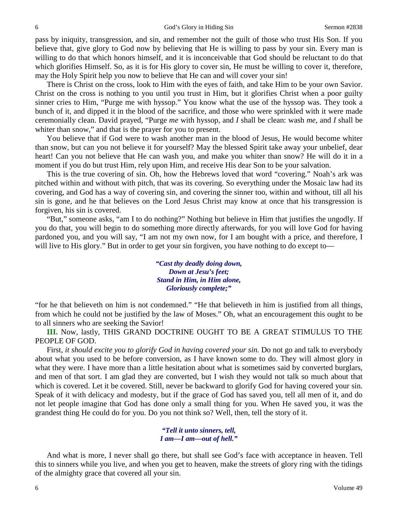pass by iniquity, transgression, and sin, and remember not the guilt of those who trust His Son. If you believe that, give glory to God now by believing that He is willing to pass by your sin. Every man is willing to do that which honors himself, and it is inconceivable that God should be reluctant to do that which glorifies Himself. So, as it is for His glory to cover sin, He must be willing to cover it, therefore, may the Holy Spirit help you now to believe that He can and will cover your sin!

There is Christ on the cross, look to Him with the eyes of faith, and take Him to be your own Savior. Christ on the cross is nothing to you until you trust in Him, but it glorifies Christ when a poor guilty sinner cries to Him, "Purge me with hyssop." You know what the use of the hyssop was. They took a bunch of it, and dipped it in the blood of the sacrifice, and those who were sprinkled with it were made ceremonially clean. David prayed, "Purge *me* with hyssop, and *I* shall be clean: wash *me,* and *I* shall be whiter than snow," and that is the prayer for you to present.

You believe that if God were to wash another man in the blood of Jesus, He would become whiter than snow, but can you not believe it for yourself? May the blessed Spirit take away your unbelief, dear heart! Can you not believe that He can wash you, and make you whiter than snow? He will do it in a moment if you do but trust Him, rely upon Him, and receive His dear Son to be your salvation.

This is the true covering of sin. Oh, how the Hebrews loved that word "covering." Noah's ark was pitched within and without with pitch, that was its covering. So everything under the Mosaic law had its covering, and God has a way of covering sin, and covering the sinner too, within and without, till all his sin is gone, and he that believes on the Lord Jesus Christ may know at once that his transgression is forgiven, his sin is covered.

"But," someone asks, "am I to do nothing?" Nothing but believe in Him that justifies the ungodly. If you do that, you will begin to do something more directly afterwards, for you will love God for having pardoned you, and you will say, "I am not my own now, for I am bought with a price, and therefore, I will live to His glory." But in order to get your sin forgiven, you have nothing to do except to—

> *"Cast thy deadly doing down, Down at Jesu's feet; Stand in Him, in Him alone, Gloriously complete;"*

"for he that believeth on him is not condemned." "He that believeth in him is justified from all things, from which he could not be justified by the law of Moses." Oh, what an encouragement this ought to be to all sinners who are seeking the Savior!

**III.** Now, lastly, THIS GRAND DOCTRINE OUGHT TO BE A GREAT STIMULUS TO THE PEOPLE OF GOD.

First, *it should excite you to glorify God in having covered your sin*. Do not go and talk to everybody about what you used to be before conversion, as I have known some to do. They will almost glory in what they were. I have more than a little hesitation about what is sometimes said by converted burglars, and men of that sort. I am glad they are converted, but I wish they would not talk so much about that which is covered. Let it be covered. Still, never be backward to glorify God for having covered your sin. Speak of it with delicacy and modesty, but if the grace of God has saved you, tell all men of it, and do not let people imagine that God has done only a small thing for you. When He saved you, it was the grandest thing He could do for you. Do you not think so? Well, then, tell the story of it.

> *"Tell it unto sinners, tell, I am—I am—out of hell."*

And what is more, I never shall go there, but shall see God's face with acceptance in heaven. Tell this to sinners while you live, and when you get to heaven, make the streets of glory ring with the tidings of the almighty grace that covered all your sin.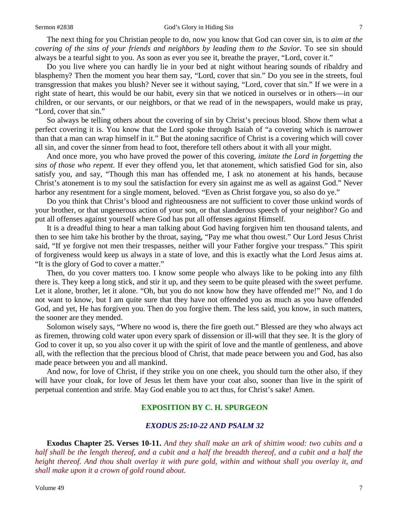The next thing for you Christian people to do, now you know that God can cover sin, is to *aim at the covering of the sins of your friends and neighbors by leading them to the Savior.* To see sin should always be a tearful sight to you. As soon as ever you see it, breathe the prayer, "Lord, cover it."

Do you live where you can hardly lie in your bed at night without hearing sounds of ribaldry and blasphemy? Then the moment you hear them say, "Lord, cover that sin." Do you see in the streets, foul transgression that makes you blush? Never see it without saying, "Lord, cover that sin." If we were in a right state of heart, this would be our habit, every sin that we noticed in ourselves or in others—in our children, or our servants, or our neighbors, or that we read of in the newspapers, would make us pray, "Lord, cover that sin."

So always be telling others about the covering of sin by Christ's precious blood. Show them what a perfect covering it is. You know that the Lord spoke through Isaiah of "a covering which is narrower than that a man can wrap himself in it." But the atoning sacrifice of Christ is a covering which will cover all sin, and cover the sinner from head to foot, therefore tell others about it with all your might.

And once more, you who have proved the power of this covering, *imitate the Lord in forgetting the sins of those who repent.* If ever they offend you, let that atonement, which satisfied God for sin, also satisfy you, and say, "Though this man has offended me, I ask no atonement at his hands, because Christ's atonement is to my soul the satisfaction for every sin against me as well as against God." Never harbor any resentment for a single moment, beloved. "Even as Christ forgave you, so also do ye."

Do you think that Christ's blood and righteousness are not sufficient to cover those unkind words of your brother, or that ungenerous action of your son, or that slanderous speech of your neighbor? Go and put all offenses against yourself where God has put all offenses against Himself.

It is a dreadful thing to hear a man talking about God having forgiven him ten thousand talents, and then to see him take his brother by the throat, saying, "Pay me what thou owest." Our Lord Jesus Christ said, "If ye forgive not men their trespasses, neither will your Father forgive your trespass." This spirit of forgiveness would keep us always in a state of love, and this is exactly what the Lord Jesus aims at. "It is the glory of God to cover a matter."

Then, do you cover matters too. I know some people who always like to be poking into any filth there is. They keep a long stick, and stir it up, and they seem to be quite pleased with the sweet perfume. Let it alone, brother, let it alone. "Oh, but you do not know how they have offended me!" No, and I do not want to know, but I am quite sure that they have not offended you as much as you have offended God, and yet, He has forgiven you. Then do you forgive them. The less said, you know, in such matters, the sooner are they mended.

Solomon wisely says, "Where no wood is, there the fire goeth out." Blessed are they who always act as firemen, throwing cold water upon every spark of dissension or ill-will that they see. It is the glory of God to cover it up, so you also cover it up with the spirit of love and the mantle of gentleness, and above all, with the reflection that the precious blood of Christ, that made peace between you and God, has also made peace between you and all mankind.

And now, for love of Christ, if they strike you on one cheek, you should turn the other also, if they will have your cloak, for love of Jesus let them have your coat also, sooner than live in the spirit of perpetual contention and strife. May God enable you to act thus, for Christ's sake! Amen.

# **EXPOSITION BY C. H. SPURGEON**

## *EXODUS 25:10-22 AND PSALM 32*

**Exodus Chapter 25. Verses 10-11.** *And they shall make an ark of shittim wood: two cubits and a half shall be the length thereof, and a cubit and a half the breadth thereof, and a cubit and a half the height thereof. And thou shalt overlay it with pure gold, within and without shall you overlay it, and shall make upon it a crown of gold round about.*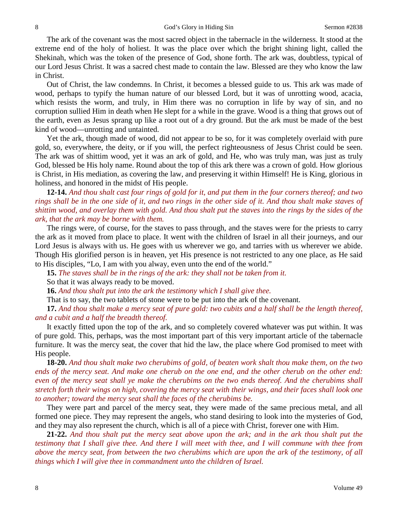The ark of the covenant was the most sacred object in the tabernacle in the wilderness. It stood at the extreme end of the holy of holiest. It was the place over which the bright shining light, called the Shekinah, which was the token of the presence of God, shone forth. The ark was, doubtless, typical of our Lord Jesus Christ. It was a sacred chest made to contain the law. Blessed are they who know the law in Christ.

Out of Christ, the law condemns. In Christ, it becomes a blessed guide to us. This ark was made of wood, perhaps to typify the human nature of our blessed Lord, but it was of unrotting wood, acacia, which resists the worm, and truly, in Him there was no corruption in life by way of sin, and no corruption sullied Him in death when He slept for a while in the grave. Wood is a thing that grows out of the earth, even as Jesus sprang up like a root out of a dry ground. But the ark must be made of the best kind of wood—unrotting and untainted.

Yet the ark, though made of wood, did not appear to be so, for it was completely overlaid with pure gold, so, everywhere, the deity, or if you will, the perfect righteousness of Jesus Christ could be seen. The ark was of shittim wood, yet it was an ark of gold, and He, who was truly man, was just as truly God, blessed be His holy name. Round about the top of this ark there was a crown of gold. How glorious is Christ, in His mediation, as covering the law, and preserving it within Himself! He is King, glorious in holiness, and honored in the midst of His people.

**12-14.** *And thou shalt cast four rings of gold for it, and put them in the four corners thereof; and two rings shall be in the one side of it, and two rings in the other side of it. And thou shalt make staves of shittim wood, and overlay them with gold. And thou shalt put the staves into the rings by the sides of the ark, that the ark may be borne with them.*

The rings were, of course, for the staves to pass through, and the staves were for the priests to carry the ark as it moved from place to place. It went with the children of Israel in all their journeys, and our Lord Jesus is always with us. He goes with us wherever we go, and tarries with us wherever we abide. Though His glorified person is in heaven, yet His presence is not restricted to any one place, as He said to His disciples, "Lo, I am with you alway, even unto the end of the world."

**15.** *The staves shall be in the rings of the ark: they shall not be taken from it.*

So that it was always ready to be moved.

**16.** *And thou shalt put into the ark the testimony which I shall give thee.*

That is to say, the two tablets of stone were to be put into the ark of the covenant.

**17.** *And thou shalt make a mercy seat of pure gold: two cubits and a half shall be the length thereof, and a cubit and a half the breadth thereof.*

It exactly fitted upon the top of the ark, and so completely covered whatever was put within. It was of pure gold. This, perhaps, was the most important part of this very important article of the tabernacle furniture. It was the mercy seat, the cover that hid the law, the place where God promised to meet with His people.

**18-20.** *And thou shalt make two cherubims of gold, of beaten work shalt thou make them, on the two ends of the mercy seat. And make one cherub on the one end, and the other cherub on the other end: even of the mercy seat shall ye make the cherubims on the two ends thereof. And the cherubims shall stretch forth their wings on high, covering the mercy seat with their wings, and their faces shall look one to another; toward the mercy seat shall the faces of the cherubims be.*

They were part and parcel of the mercy seat, they were made of the same precious metal, and all formed one piece. They may represent the angels, who stand desiring to look into the mysteries of God, and they may also represent the church, which is all of a piece with Christ, forever one with Him.

**21-22.** *And thou shalt put the mercy seat above upon the ark; and in the ark thou shalt put the testimony that I shall give thee. And there I will meet with thee, and I will commune with thee from above the mercy seat, from between the two cherubims which are upon the ark of the testimony, of all things which I will give thee in commandment unto the children of Israel.*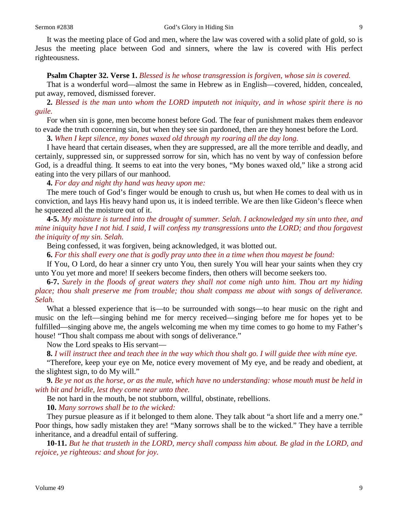It was the meeting place of God and men, where the law was covered with a solid plate of gold, so is Jesus the meeting place between God and sinners, where the law is covered with His perfect righteousness.

### **Psalm Chapter 32. Verse 1.** *Blessed is he whose transgression is forgiven, whose sin is covered.*

That is a wonderful word—almost the same in Hebrew as in English—covered, hidden, concealed, put away, removed, dismissed forever.

**2.** *Blessed is the man unto whom the LORD imputeth not iniquity, and in whose spirit there is no guile.*

For when sin is gone, men become honest before God. The fear of punishment makes them endeavor to evade the truth concerning sin, but when they see sin pardoned, then are they honest before the Lord.

**3.** *When I kept silence, my bones waxed old through my roaring all the day long.*

I have heard that certain diseases, when they are suppressed, are all the more terrible and deadly, and certainly, suppressed sin, or suppressed sorrow for sin, which has no vent by way of confession before God, is a dreadful thing. It seems to eat into the very bones, "My bones waxed old," like a strong acid eating into the very pillars of our manhood.

**4.** *For day and night thy hand was heavy upon me:*

The mere touch of God's finger would be enough to crush us, but when He comes to deal with us in conviction, and lays His heavy hand upon us, it is indeed terrible. We are then like Gideon's fleece when he squeezed all the moisture out of it.

**4-5.** *My moisture is turned into the drought of summer. Selah. I acknowledged my sin unto thee, and mine iniquity have I not hid. I said, I will confess my transgressions unto the LORD; and thou forgavest the iniquity of my sin. Selah.*

Being confessed, it was forgiven, being acknowledged, it was blotted out.

**6.** *For this shall every one that is godly pray unto thee in a time when thou mayest be found:*

If You, O Lord, do hear a sinner cry unto You, then surely You will hear your saints when they cry unto You yet more and more! If seekers become finders, then others will become seekers too.

**6-7.** *Surely in the floods of great waters they shall not come nigh unto him. Thou art my hiding place; thou shalt preserve me from trouble; thou shalt compass me about with songs of deliverance. Selah.*

What a blessed experience that is—to be surrounded with songs—to hear music on the right and music on the left—singing behind me for mercy received—singing before me for hopes yet to be fulfilled—singing above me, the angels welcoming me when my time comes to go home to my Father's house! "Thou shalt compass me about with songs of deliverance."

Now the Lord speaks to His servant—

**8.** *I will instruct thee and teach thee in the way which thou shalt go. I will guide thee with mine eye.*

"Therefore, keep your eye on Me, notice every movement of My eye, and be ready and obedient, at the slightest sign, to do My will."

**9.** *Be ye not as the horse, or as the mule, which have no understanding: whose mouth must be held in with bit and bridle, lest they come near unto thee.*

Be not hard in the mouth, be not stubborn, willful, obstinate, rebellions.

**10.** *Many sorrows shall be to the wicked:*

They pursue pleasure as if it belonged to them alone. They talk about "a short life and a merry one." Poor things, how sadly mistaken they are! "Many sorrows shall be to the wicked." They have a terrible inheritance, and a dreadful entail of suffering.

**10-11.** *But he that trusteth in the LORD, mercy shall compass him about. Be glad in the LORD, and rejoice, ye righteous: and shout for joy.*